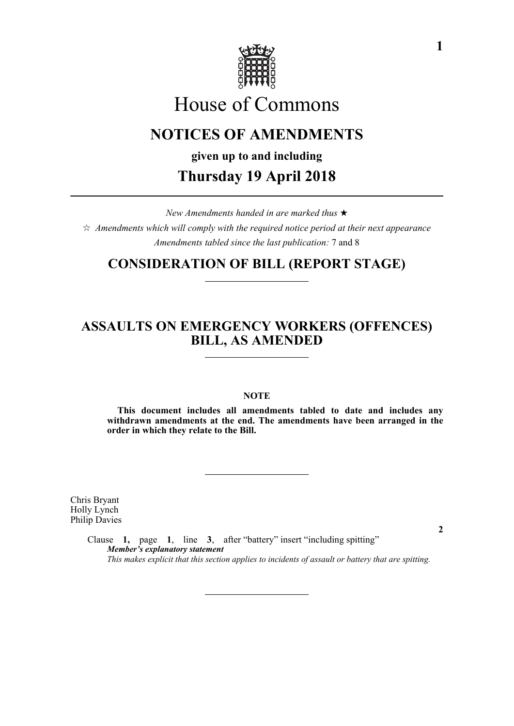

# House of Commons

# **NOTICES OF AMENDMENTS**

**given up to and including**

## **Thursday 19 April 2018**

*New Amendments handed in are marked thus*   $\hat{\varphi}$  Amendments which will comply with the required notice period at their next appearance *Amendments tabled since the last publication:* 7 and 8

#### **CONSIDERATION OF BILL (REPORT STAGE)**

### **ASSAULTS ON EMERGENCY WORKERS (OFFENCES) BILL, AS AMENDED**

#### **NOTE**

**This document includes all amendments tabled to date and includes any withdrawn amendments at the end. The amendments have been arranged in the order in which they relate to the Bill.**

Chris Bryant Holly Lynch Philip Davies

> Clause **1,** page **1**, line **3**, after "battery" insert "including spitting" *Member's explanatory statement This makes explicit that this section applies to incidents of assault or battery that are spitting.*

**2**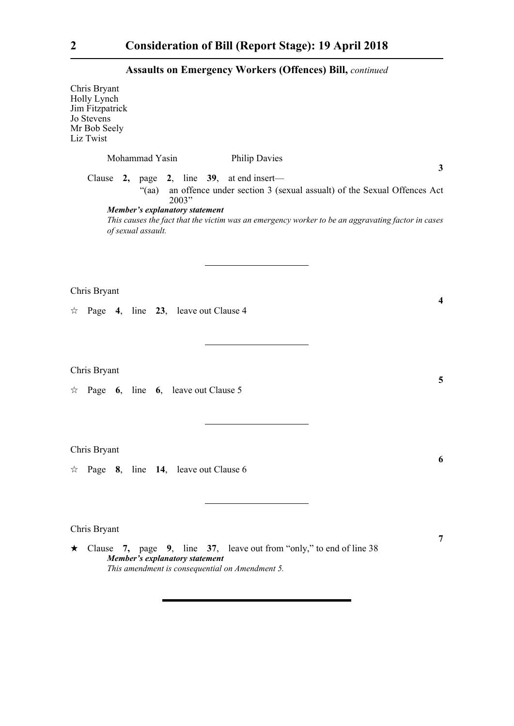#### **Assaults on Emergency Workers (Offences) Bill,** *continued*

Chris Bryant Holly Lynch Jim Fitzpatrick Jo Stevens Mr Bob Seely Liz Twist Mohammad Yasin Philip Davies **3** Clause **2,** page **2**, line **39**, at end insert— "(aa) an offence under section 3 (sexual assualt) of the Sexual Offences Act 2003" *Member's explanatory statement This causes the fact that the victim was an emergency worker to be an aggravating factor in cases of sexual assault.*  Chris Bryant **4**  $\approx$  Page 4, line 23, leave out Clause 4 Chris Bryant **5**  $\forall$  Page **6**, line **6**, leave out Clause 5 Chris Bryant **6**  $\approx$  Page **8**, line **14**, leave out Clause 6 Chris Bryant

 Clause **7,** page **9**, line **37**, leave out from "only," to end of line 38 *Member's explanatory statement This amendment is consequential on Amendment 5.* 

**7**